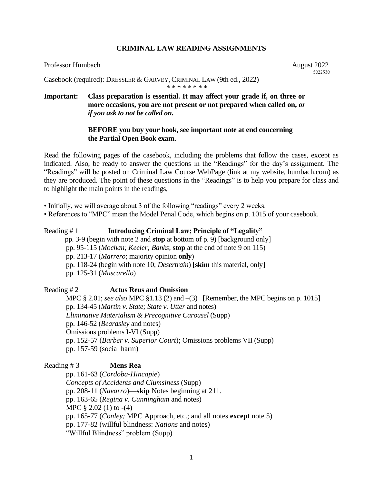## **CRIMINAL LAW READING ASSIGNMENTS**

#### Professor Humbach **August 2022**

5022530

Casebook (required): DRESSLER & GARVEY, CRIMINAL LAW (9th ed., 2022) \* \* \* \* \* \* \* \*

# **Important: Class preparation is essential. It may affect your grade if, on three or more occasions, you are not present or not prepared when called on,** *or if you ask to not be called on***.**

## **BEFORE you buy your book, see important note at end concerning the Partial Open Book exam.**

Read the following pages of the casebook, including the problems that follow the cases, except as indicated. Also, be ready to answer the questions in the "Readings" for the day's assignment. The "Readings" will be posted on Criminal Law Course WebPage (link at my website, humbach.com) as they are produced. The point of these questions in the "Readings" is to help you prepare for class and to highlight the main points in the readings,

• Initially, we will average about 3 of the following "readings" every 2 weeks.

• References to "MPC" mean the Model Penal Code, which begins on p. 1015 of your casebook.

# Reading # 1 **Introducing Criminal Law; Principle of "Legality"** pp. 3-9 (begin with note 2 and **stop** at bottom of p. 9) [background only] pp. 95-115 (*Mochan; Keeler; Banks*; **stop** at the end of note 9 on 115) pp. 213-17 (*Marrero*; majority opinion **only**)

pp. 118-24 (begin with note 10; *Desertrain*) [**skim** this material, only]

pp. 125-31 (*Muscarello*)

Reading # 2 **Actus Reus and Omission** MPC § 2.01; *see also* MPC §1.13 (2) and –(3) [Remember, the MPC begins on p. 1015] pp. 134-45 (*Martin v. State; State v. Utter* and notes) *Eliminative Materialism & Precognitive Carousel* (Supp) pp. 146-52 (*Beardsley* and notes) Omissions problems I-VI (Supp) pp. 152-57 (*Barber v. Superior Court*); Omissions problems VII (Supp)

pp. 157-59 (social harm)

## Reading # 3 **Mens Rea**

pp. 161-63 (*Cordoba-Hincapie*) *Concepts of Accidents and Clumsiness* (Supp) pp. 208-11 (*Navarro*)—**skip** Notes beginning at 211. pp. 163-65 (*Regina v. Cunningham* and notes) MPC  $\S 2.02$  (1) to  $-(4)$ pp. 165-77 (*Conley;* MPC Approach, etc.; and all notes **except** note 5) pp. 177-82 (willful blindness: *Nations* and notes) "Willful Blindness" problem (Supp)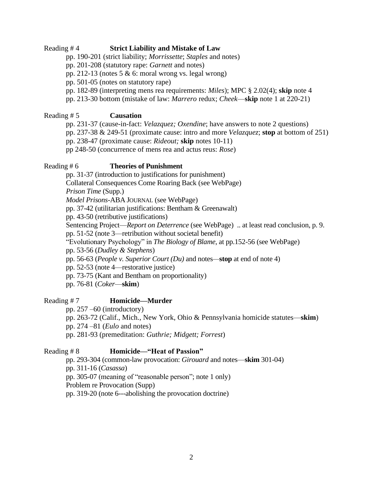## Reading # 4 **Strict Liability and Mistake of Law**

pp. 190-201 (strict liability; *Morrissette*; *Staples* and notes)

pp. 201-208 (statutory rape: *Garnett* and notes)

pp. 212-13 (notes 5  $\&$  6: moral wrong vs. legal wrong)

pp. 501-05 (notes on statutory rape)

pp. 182-89 (interpreting mens rea requirements: *Miles*); MPC § 2.02(4); **skip** note 4

pp. 213-30 bottom (mistake of law: *Marrero* redux; *Cheek*—**skip** note 1 at 220-21)

# Reading # 5 **Causation**

pp. 231-37 (cause-in-fact: *Velazquez; Oxendine*; have answers to note 2 questions) pp. 237-38 & 249-51 (proximate cause: intro and more *Velazquez*; **stop** at bottom of 251) pp. 238-47 (proximate cause: *Rideout;* **skip** notes 10-11) pp 248-50 (concurrence of mens rea and actus reus: *Rose*)

# Reading # 6 **Theories of Punishment**

pp. 31-37 (introduction to justifications for punishment) Collateral Consequences Come Roaring Back (see WebPage) *Prison Time* (Supp.) *Model Prisons*-ABA JOURNAL (see WebPage) pp. 37-42 (utilitarian justifications: Bentham & Greenawalt) pp. 43-50 (retributive justifications) Sentencing Project—*Report on Deterrence* (see WebPage) .. at least read conclusion, p. 9. pp. 51-52 (note 3—retribution without societal benefit) "Evolutionary Psychology" in *The Biology of Blame*, at pp.152-56 (see WebPage) pp. 53-56 (*Dudley & Stephens*) pp. 56-63 (*People v. Superior Court (Du)* and notes*—***stop** at end of note 4) pp. 52-53 (note 4—restorative justice) pp. 73-75 (Kant and Bentham on proportionality)

pp. 76-81 (*Coker*—**skim**)

# Reading # 7 **Homicide—Murder**

pp. 257 –60 (introductory)

pp. 263-72 (Calif., Mich., New York, Ohio & Pennsylvania homicide statutes—**skim**) pp. 274 –81 (*Eulo* and notes)

pp. 281-93 (premeditation: *Guthrie; Midgett; Forrest*)

# Reading # 8 **Homicide—"Heat of Passion"**

pp. 293-304 (common-law provocation: *Girouard* and notes—**skim** 301-04) pp. 311-16 (*Casassa*) pp. 305-07 (meaning of "reasonable person"; note 1 only) Problem re Provocation (Supp) pp. 319-20 (note 6---abolishing the provocation doctrine)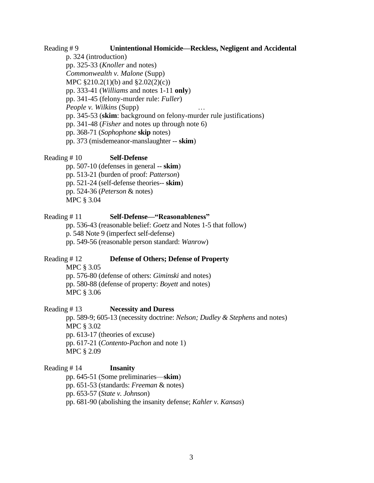#### Reading # 9 **Unintentional Homicide—Reckless, Negligent and Accidental**

p. 324 (introduction) pp. 325-33 (*Knoller* and notes) *Commonwealth v. Malone* (Supp) MPC §210.2(1)(b) and §2.02(2)(c)) pp. 333-41 (*Williams* and notes 1-11 **only**) pp. 341-45 (felony-murder rule: *Fuller*) *People v. Wilkins* (Supp) … pp. 345-53 (**skim**: background on felony-murder rule justifications) pp. 341-48 (*Fisher* and notes up through note 6) pp. 368-71 (*Sophophone* **skip** notes) pp. 373 (misdemeanor-manslaughter -- **skim**)

#### Reading # 10 **Self-Defense**

pp. 507-10 (defenses in general -- **skim**) pp. 513-21 (burden of proof: *Patterson*) pp. 521-24 (self-defense theories-- **skim**) pp. 524-36 (*Peterson* & notes) MPC § 3.04

#### Reading # 11 **Self-Defense—"Reasonableness"**

pp. 536-43 (reasonable belief: *Goetz* and Notes 1-5 that follow) p. 548 Note 9 (imperfect self-defense) pp. 549-56 (reasonable person standard: *Wanrow*)

#### Reading # 12 **Defense of Others; Defense of Property**

MPC § 3.05

pp. 576-80 (defense of others: *Giminski* and notes) pp. 580-88 (defense of property: *Boyett* and notes) MPC § 3.06

#### Reading # 13 **Necessity and Duress**

pp. 589-9; 605-13 (necessity doctrine: *Nelson; Dudley & Stephens* and notes) MPC § 3.02 pp. 613-17 (theories of excuse) pp. 617-21 (*Contento-Pachon* and note 1) MPC § 2.09

### Reading # 14 **Insanity**

pp. 645-51 (Some preliminaries—**skim**) pp. 651-53 (standards: *Freeman* & notes) pp. 653-57 (*State v. Johnson*) pp. 681-90 (abolishing the insanity defense; *Kahler v. Kansas*)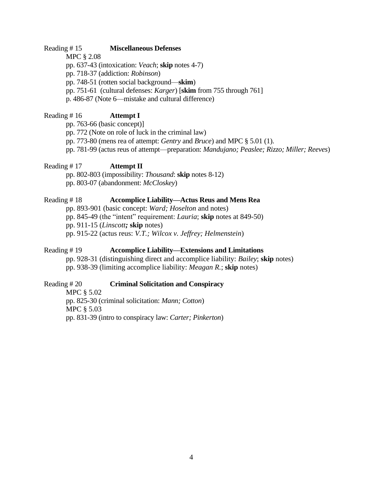#### Reading # 15 **Miscellaneous Defenses**

MPC § 2.08

pp. 637-43 (intoxication: *Veach*; **skip** notes 4-7)

pp. 718-37 (addiction: *Robinson*)

pp. 748-51 (rotten social background—**skim**)

pp. 751-61 (cultural defenses: *Karger*) [**skim** from 755 through 761]

p. 486-87 (Note 6—mistake and cultural difference)

# Reading # 16 **Attempt I**

pp. 763-66 (basic concept)]

pp. 772 (Note on role of luck in the criminal law)

pp. 773-80 (mens rea of attempt: *Gentry* and *Bruce*) and MPC § 5.01 (1).

pp. 781-99 (actus reus of attempt—preparation: *Mandujano; Peaslee; Rizzo; Miller; Reeves*)

## Reading # 17 **Attempt II**

pp. 802-803 (impossibility: *Thousand*: **skip** notes 8-12) pp. 803-07 (abandonment: *McCloskey*)

## Reading # 18 **Accomplice Liability—Actus Reus and Mens Rea**

pp. 893-901 (basic concept: *Ward; Hoselton* and notes)

pp. 845-49 (the "intent" requirement: *Lauria*; **skip** notes at 849-50)

pp. 911-15 (*Linscott;* **skip** notes)

pp. 915-22 (actus reus: *V.T.; Wilcox v. Jeffrey; Helmenstein*)

# Reading # 19 **Accomplice Liability—Extensions and Limitations**

pp. 928-31 (distinguishing direct and accomplice liability: *Bailey*; **skip** notes) pp. 938-39 (limiting accomplice liability: *Meagan R.*; **skip** notes)

## Reading # 20 **Criminal Solicitation and Conspiracy**

MPC § 5.02 pp. 825-30 (criminal solicitation: *Mann; Cotton*) MPC § 5.03 pp. 831-39 (intro to conspiracy law: *Carter; Pinkerton*)